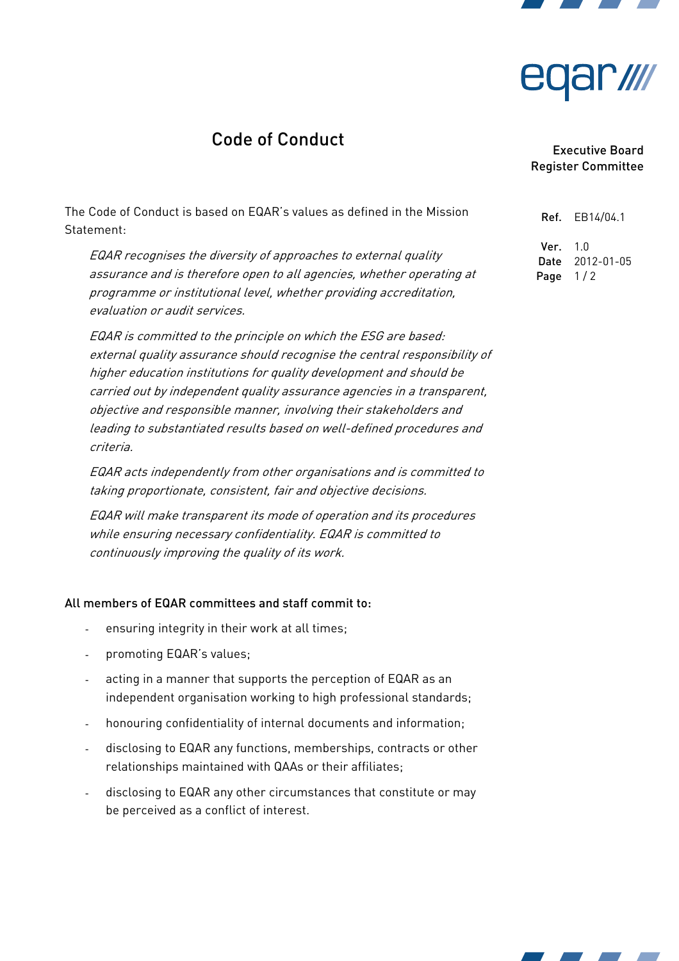

# <u>ar ////</u>

# Code of Conduct

The Code of Conduct is based on EQAR's values as defined in the Mission Statement:

EQAR recognises the diversity of approaches to external quality assurance and is therefore open to all agencies, whether operating at programme or institutional level, whether providing accreditation, evaluation or audit services.

EQAR is committed to the principle on which the ESG are based: external quality assurance should recognise the central responsibility of higher education institutions for quality development and should be carried out by independent quality assurance agencies in a transparent, objective and responsible manner, involving their stakeholders and leading to substantiated results based on well-defined procedures and criteria.

EQAR acts independently from other organisations and is committed to taking proportionate, consistent, fair and objective decisions.

EQAR will make transparent its mode of operation and its procedures while ensuring necessary confidentiality. EQAR is committed to continuously improving the quality of its work.

#### All members of EQAR committees and staff commit to:

- ensuring integrity in their work at all times;
- promoting EQAR's values;
- acting in a manner that supports the perception of EQAR as an independent organisation working to high professional standards;
- honouring confidentiality of internal documents and information;
- disclosing to EQAR any functions, memberships, contracts or other relationships maintained with QAAs or their affiliates;
- disclosing to EQAR any other circumstances that constitute or may be perceived as a conflict of interest.

### Executive Board Register Committee

Ref. EB14/04.1  $Ver. 10$ Date 2012-01-05 Page  $1/2$